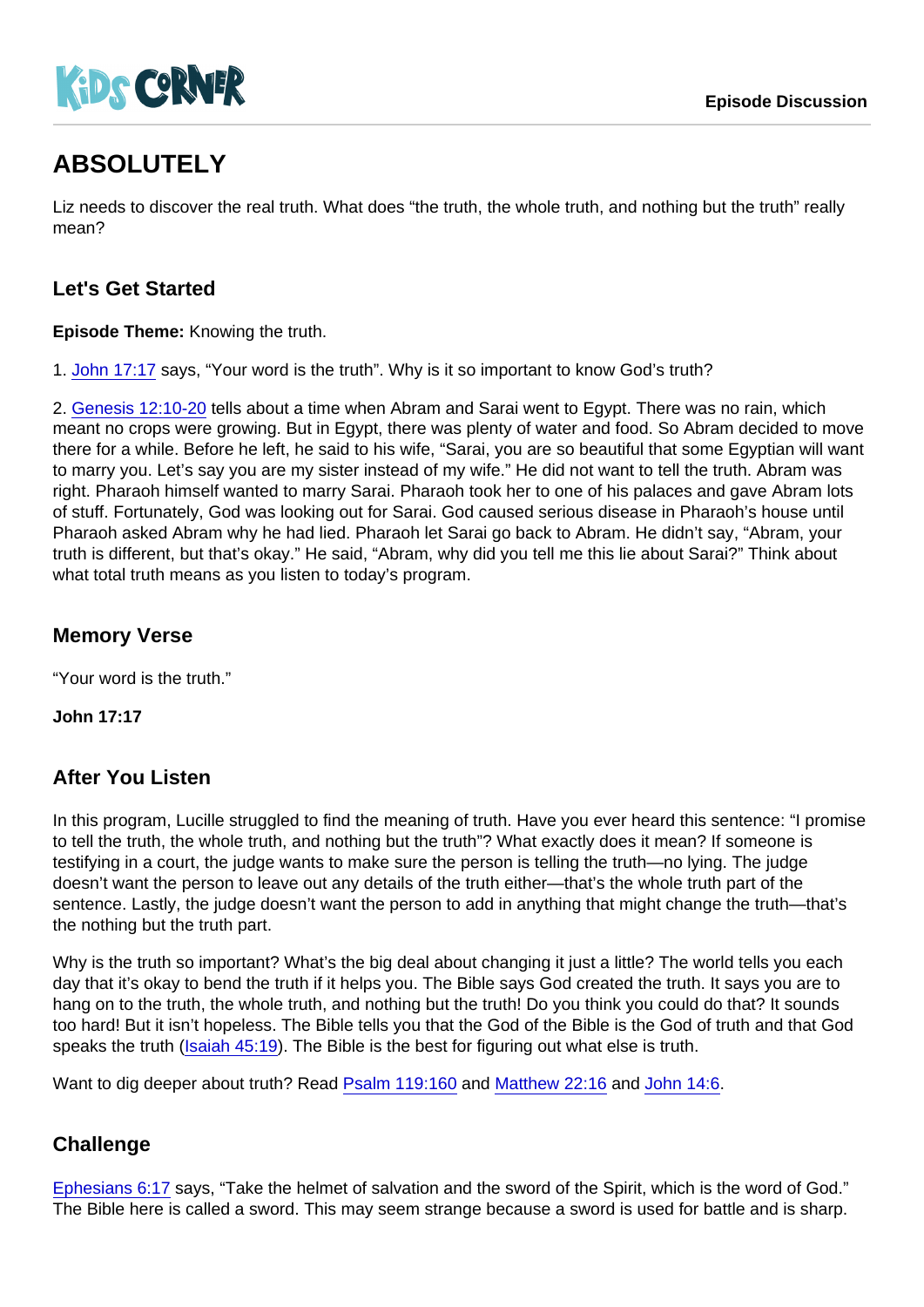# ABSOLUTELY

Liz needs to discover the real truth. What does "the truth, the whole truth, and nothing but the truth" really mean?

## Let's Get Started

Episode Theme: Knowing the truth.

1. [John 17:17](https://www.biblegateway.com/passage/?search=John+17:17) says, "Your word is the truth". Why is it so important to know God's truth?

2. [Genesis 12:10-20](https://www.biblegateway.com/passage/?search=Genesis+12:10-20) tells about a time when Abram and Sarai went to Egypt. There was no rain, which meant no crops were growing. But in Egypt, there was plenty of water and food. So Abram decided to move there for a while. Before he left, he said to his wife, "Sarai, you are so beautiful that some Egyptian will want to marry you. Let's say you are my sister instead of my wife." He did not want to tell the truth. Abram was right. Pharaoh himself wanted to marry Sarai. Pharaoh took her to one of his palaces and gave Abram lots of stuff. Fortunately, God was looking out for Sarai. God caused serious disease in Pharaoh's house until Pharaoh asked Abram why he had lied. Pharaoh let Sarai go back to Abram. He didn't say, "Abram, your truth is different, but that's okay." He said, "Abram, why did you tell me this lie about Sarai?" Think about what total truth means as you listen to today's program.

Memory Verse

"Your word is the truth."

John 17:17

### After You Listen

In this program, Lucille struggled to find the meaning of truth. Have you ever heard this sentence: "I promise to tell the truth, the whole truth, and nothing but the truth"? What exactly does it mean? If someone is testifying in a court, the judge wants to make sure the person is telling the truth—no lying. The judge doesn't want the person to leave out any details of the truth either—that's the whole truth part of the sentence. Lastly, the judge doesn't want the person to add in anything that might change the truth—that's the nothing but the truth part.

Why is the truth so important? What's the big deal about changing it just a little? The world tells you each day that it's okay to bend the truth if it helps you. The Bible says God created the truth. It says you are to hang on to the truth, the whole truth, and nothing but the truth! Do you think you could do that? It sounds too hard! But it isn't hopeless. The Bible tells you that the God of the Bible is the God of truth and that God speaks the truth [\(Isaiah 45:19\)](https://www.biblegateway.com/passage/?search=Isaiah+45:19). The Bible is the best for figuring out what else is truth.

Want to dig deeper about truth? Read [Psalm 119:160](https://www.biblegateway.com/passage/?search=Psalm+119:160) and [Matthew 22:16](https://www.biblegateway.com/passage/?search=Matthew+22:16) and [John 14:6.](https://www.biblegateway.com/passage/?search=John+14:6)

### **Challenge**

[Ephesians 6:17](https://www.biblegateway.com/passage/?search=Ephesians+6:17) says, "Take the helmet of salvation and the sword of the Spirit, which is the word of God." The Bible here is called a sword. This may seem strange because a sword is used for battle and is sharp.